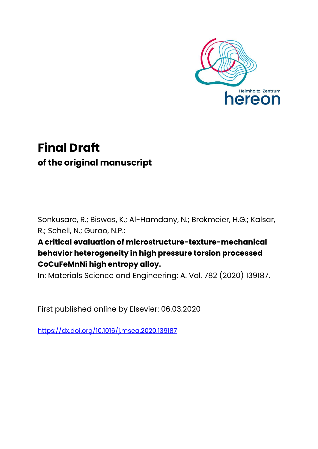

## **Final Draft of the original manuscript**

Sonkusare, R.; Biswas, K.; Al-Hamdany, N.; Brokmeier, H.G.; Kalsar, R.; Schell, N.; Gurao, N.P.:

### **A critical evaluation of microstructure-texture-mechanical behavior heterogeneity in high pressure torsion processed CoCuFeMnNi high entropy alloy.**

In: Materials Science and Engineering: A. Vol. 782 (2020) 139187.

First published online by Elsevier: 06.03.2020

<https://dx.doi.org/10.1016/j.msea.2020.139187>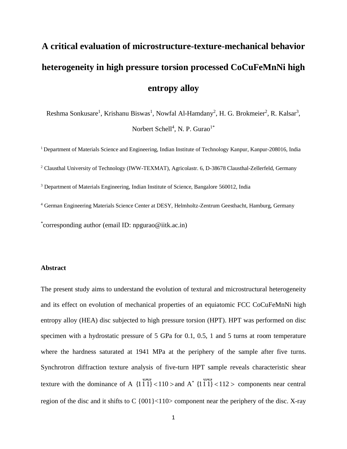# **A critical evaluation of microstructure-texture-mechanical behavior heterogeneity in high pressure torsion processed CoCuFeMnNi high entropy alloy**

Reshma Sonkusare<sup>1</sup>, Krishanu Biswas<sup>1</sup>, Nowfal Al-Hamdany<sup>2</sup>, H. G. Brokmeier<sup>2</sup>, R. Kalsar<sup>3</sup>, Norbert Schell<sup>4</sup>, N. P. Gurao<sup>1\*</sup>

<sup>1</sup> Department of Materials Science and Engineering, Indian Institute of Technology Kanpur, Kanpur-208016, India <sup>2</sup> Clausthal University of Technology (IWW-TEXMAT), Agricolastr. 6, D-38678 Clausthal-Zellerfeld, Germany <sup>3</sup> Department of Materials Engineering, Indian Institute of Science, Bangalore 560012, India <sup>4</sup> German Engineering Materials Science Center at DESY, Helmholtz-Zentrum Geesthacht, Hamburg, Germany

\* corresponding author (email ID: npgurao@iitk.ac.in)

#### **Abstract**

The present study aims to understand the evolution of textural and microstructural heterogeneity and its effect on evolution of mechanical properties of an equiatomic FCC CoCuFeMnNi high entropy alloy (HEA) disc subjected to high pressure torsion (HPT). HPT was performed on disc specimen with a hydrostatic pressure of 5 GPa for 0.1, 0.5, 1 and 5 turns at room temperature where the hardness saturated at 1941 MPa at the periphery of the sample after five turns. Synchrotron diffraction texture analysis of five-turn HPT sample reveals characteristic shear texture with the dominance of A  $\{111\}$  < 110 > ψψ and  $A^*$  {111} < 112 > ψψ components near central region of the disc and it shifts to C {001}<110> component near the periphery of the disc. X-ray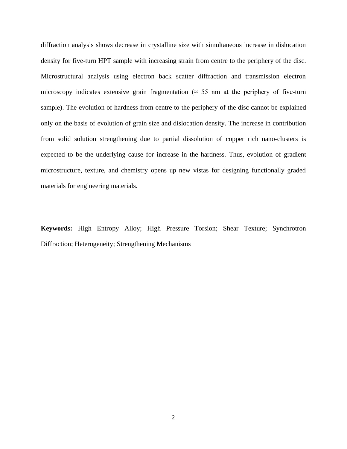diffraction analysis shows decrease in crystalline size with simultaneous increase in dislocation density for five-turn HPT sample with increasing strain from centre to the periphery of the disc. Microstructural analysis using electron back scatter diffraction and transmission electron microscopy indicates extensive grain fragmentation ( $\approx$  55 nm at the periphery of five-turn sample). The evolution of hardness from centre to the periphery of the disc cannot be explained only on the basis of evolution of grain size and dislocation density. The increase in contribution from solid solution strengthening due to partial dissolution of copper rich nano-clusters is expected to be the underlying cause for increase in the hardness. Thus, evolution of gradient microstructure, texture, and chemistry opens up new vistas for designing functionally graded materials for engineering materials.

**Keywords:** High Entropy Alloy; High Pressure Torsion; Shear Texture; Synchrotron Diffraction; Heterogeneity; Strengthening Mechanisms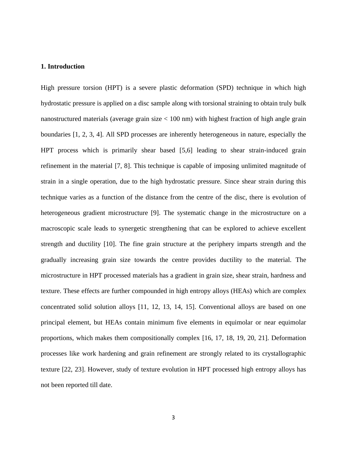#### **1. Introduction**

High pressure torsion (HPT) is a severe plastic deformation (SPD) technique in which high hydrostatic pressure is applied on a disc sample along with torsional straining to obtain truly bulk nanostructured materials (average grain size  $< 100$  nm) with highest fraction of high angle grain boundaries [1, 2, 3, 4]. All SPD processes are inherently heterogeneous in nature, especially the HPT process which is primarily shear based [5,6] leading to shear strain-induced grain refinement in the material [7, 8]. This technique is capable of imposing unlimited magnitude of strain in a single operation, due to the high hydrostatic pressure. Since shear strain during this technique varies as a function of the distance from the centre of the disc, there is evolution of heterogeneous gradient microstructure [9]. The systematic change in the microstructure on a macroscopic scale leads to synergetic strengthening that can be explored to achieve excellent strength and ductility [10]. The fine grain structure at the periphery imparts strength and the gradually increasing grain size towards the centre provides ductility to the material. The microstructure in HPT processed materials has a gradient in grain size, shear strain, hardness and texture. These effects are further compounded in high entropy alloys (HEAs) which are complex concentrated solid solution alloys [11, 12, 13, 14, 15]. Conventional alloys are based on one principal element, but HEAs contain minimum five elements in equimolar or near equimolar proportions, which makes them compositionally complex [16, 17, 18, 19, 20, 21]. Deformation processes like work hardening and grain refinement are strongly related to its crystallographic texture [22, 23]. However, study of texture evolution in HPT processed high entropy alloys has not been reported till date.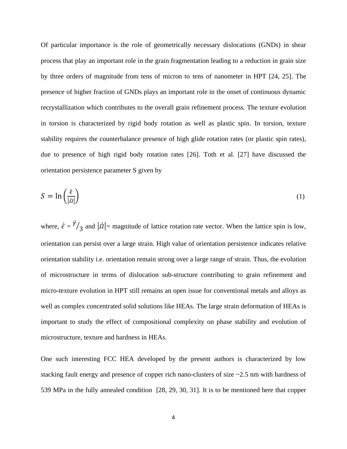Of particular importance is the role of geometrically necessary dislocations (GNDs) in shear process that play an important role in the grain fragmentation leading to a reduction in grain size by three orders of magnitude from tens of micron to tens of nanometer in HPT [24, 25]. The presence of higher fraction of GNDs plays an important role in the onset of continuous dynamic recrystallization which contributes to the overall grain refinement process. The texture evolution in torsion is characterized by rigid body rotation as well as plastic spin. In torsion, texture stability requires the counterbalance presence of high glide rotation rates (or plastic spin rates), due to presence of high rigid body rotation rates [26]. Toth et al. [27] have discussed the orientation persistence parameter S given by

$$
S = \ln\left(\frac{\dot{\bar{\epsilon}}}{|\dot{a}|}\right) \tag{1}
$$

where,  $\dot{\vec{\epsilon}} = \dot{\gamma}$  $\sqrt{3}$  and  $|\dot{\Omega}|$  = magnitude of lattice rotation rate vector. When the lattice spin is low, orientation can persist over a large strain. High value of orientation persistence indicates relative orientation stability i.e. orientation remain strong over a large range of strain. Thus, the evolution of microstructure in terms of dislocation sub-structure contributing to grain refinement and micro-texture evolution in HPT still remains an open issue for conventional metals and alloys as well as complex concentrated solid solutions like HEAs. The large strain deformation of HEAs is important to study the effect of compositional complexity on phase stability and evolution of microstructure, texture and hardness in HEAs.

One such interesting FCC HEA developed by the present authors is characterized by low stacking fault energy and presence of copper rich nano-clusters of size ~2.5 nm with hardness of 539 MPa in the fully annealed condition [28, 29, 30, 31]. It is to be mentioned here that copper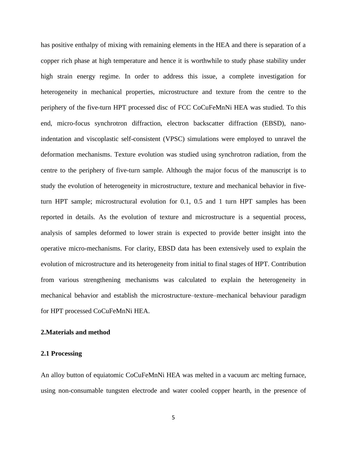has positive enthalpy of mixing with remaining elements in the HEA and there is separation of a copper rich phase at high temperature and hence it is worthwhile to study phase stability under high strain energy regime. In order to address this issue, a complete investigation for heterogeneity in mechanical properties, microstructure and texture from the centre to the periphery of the five-turn HPT processed disc of FCC CoCuFeMnNi HEA was studied. To this end, micro-focus synchrotron diffraction, electron backscatter diffraction (EBSD), nanoindentation and viscoplastic self-consistent (VPSC) simulations were employed to unravel the deformation mechanisms. Texture evolution was studied using synchrotron radiation, from the centre to the periphery of five-turn sample. Although the major focus of the manuscript is to study the evolution of heterogeneity in microstructure, texture and mechanical behavior in fiveturn HPT sample; microstructural evolution for 0.1, 0.5 and 1 turn HPT samples has been reported in details. As the evolution of texture and microstructure is a sequential process, analysis of samples deformed to lower strain is expected to provide better insight into the operative micro-mechanisms. For clarity, EBSD data has been extensively used to explain the evolution of microstructure and its heterogeneity from initial to final stages of HPT. Contribution from various strengthening mechanisms was calculated to explain the heterogeneity in mechanical behavior and establish the microstructure–texture–mechanical behaviour paradigm for HPT processed CoCuFeMnNi HEA.

#### **2.Materials and method**

#### **2.1 Processing**

An alloy button of equiatomic CoCuFeMnNi HEA was melted in a vacuum arc melting furnace, using non-consumable tungsten electrode and water cooled copper hearth, in the presence of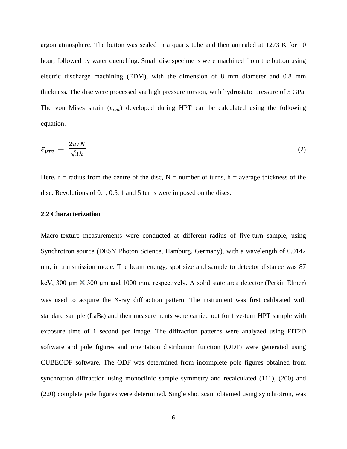argon atmosphere. The button was sealed in a quartz tube and then annealed at 1273 K for 10 hour, followed by water quenching. Small disc specimens were machined from the button using electric discharge machining (EDM), with the dimension of 8 mm diameter and 0.8 mm thickness. The disc were processed via high pressure torsion, with hydrostatic pressure of 5 GPa. The von Mises strain  $(\varepsilon_{vm})$  developed during HPT can be calculated using the following equation.

$$
\varepsilon_{vm} = \frac{2\pi r N}{\sqrt{3}h} \tag{2}
$$

Here,  $r =$  radius from the centre of the disc,  $N =$  number of turns,  $h =$  average thickness of the disc. Revolutions of 0.1, 0.5, 1 and 5 turns were imposed on the discs.

#### **2.2 Characterization**

Macro-texture measurements were conducted at different radius of five-turn sample, using Synchrotron source (DESY Photon Science, Hamburg, Germany), with a wavelength of 0.0142 nm, in transmission mode. The beam energy, spot size and sample to detector distance was 87 keV, 300  $\mu$ m  $\times$  300  $\mu$ m and 1000 mm, respectively. A solid state area detector (Perkin Elmer) was used to acquire the X-ray diffraction pattern. The instrument was first calibrated with standard sample  $(LaB_6)$  and then measurements were carried out for five-turn HPT sample with exposure time of 1 second per image. The diffraction patterns were analyzed using FIT2D software and pole figures and orientation distribution function (ODF) were generated using CUBEODF software. The ODF was determined from incomplete pole figures obtained from synchrotron diffraction using monoclinic sample symmetry and recalculated (111), (200) and (220) complete pole figures were determined. Single shot scan, obtained using synchrotron, was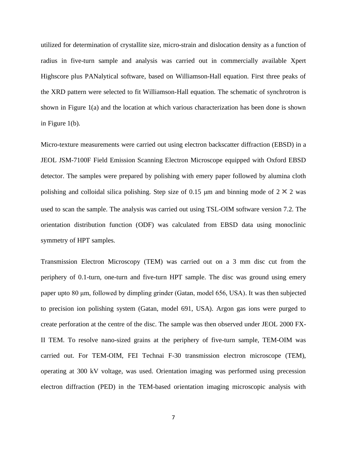utilized for determination of crystallite size, micro-strain and dislocation density as a function of radius in five-turn sample and analysis was carried out in commercially available Xpert Highscore plus PANalytical software, based on Williamson-Hall equation. First three peaks of the XRD pattern were selected to fit Williamson-Hall equation. The schematic of synchrotron is shown in Figure 1(a) and the location at which various characterization has been done is shown in Figure 1(b).

Micro-texture measurements were carried out using electron backscatter diffraction (EBSD) in a JEOL JSM-7100F Field Emission Scanning Electron Microscope equipped with Oxford EBSD detector. The samples were prepared by polishing with emery paper followed by alumina cloth polishing and colloidal silica polishing. Step size of 0.15  $\mu$ m and binning mode of 2  $\times$  2 was used to scan the sample. The analysis was carried out using TSL-OIM software version 7.2. The orientation distribution function (ODF) was calculated from EBSD data using monoclinic symmetry of HPT samples.

Transmission Electron Microscopy (TEM) was carried out on a 3 mm disc cut from the periphery of 0.1-turn, one-turn and five-turn HPT sample. The disc was ground using emery paper upto 80 μm, followed by dimpling grinder (Gatan, model 656, USA). It was then subjected to precision ion polishing system (Gatan, model 691, USA). Argon gas ions were purged to create perforation at the centre of the disc. The sample was then observed under JEOL 2000 FX-II TEM. To resolve nano-sized grains at the periphery of five-turn sample, TEM-OIM was carried out. For TEM-OIM, FEI Technai F-30 transmission electron microscope (TEM), operating at 300 kV voltage, was used. Orientation imaging was performed using precession electron diffraction (PED) in the TEM-based orientation imaging microscopic analysis with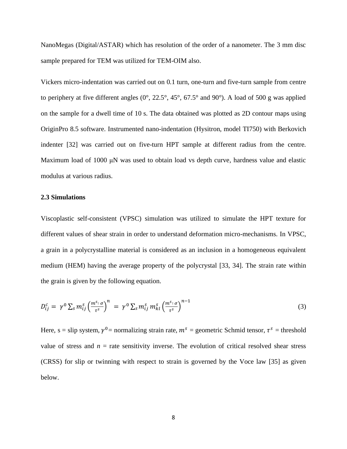NanoMegas (Digital/ASTAR) which has resolution of the order of a nanometer. The 3 mm disc sample prepared for TEM was utilized for TEM-OIM also.

Vickers micro-indentation was carried out on 0.1 turn, one-turn and five-turn sample from centre to periphery at five different angles  $(0^{\circ}, 22.5^{\circ}, 45^{\circ}, 67.5^{\circ})$  and  $90^{\circ}$ ). A load of 500 g was applied on the sample for a dwell time of 10 s. The data obtained was plotted as 2D contour maps using OriginPro 8.5 software. Instrumented nano-indentation (Hysitron, model TI750) with Berkovich indenter [32] was carried out on five-turn HPT sample at different radius from the centre. Maximum load of 1000 μN was used to obtain load vs depth curve, hardness value and elastic modulus at various radius.

#### **2.3 Simulations**

Viscoplastic self-consistent (VPSC) simulation was utilized to simulate the HPT texture for different values of shear strain in order to understand deformation micro-mechanisms. In VPSC, a grain in a polycrystalline material is considered as an inclusion in a homogeneous equivalent medium (HEM) having the average property of the polycrystal [33, 34]. The strain rate within the grain is given by the following equation.

$$
D_{ij}^c = \gamma^0 \sum_s m_{ij}^s \left(\frac{m^{s} \cdot \sigma}{\tau^s}\right)^n = \gamma^0 \sum_s m_{ij}^s m_{kl}^s \left(\frac{m^{s} \cdot \sigma}{\tau^s}\right)^{n-1}
$$
(3)

Here, s = slip system,  $\gamma^0$  = normalizing strain rate,  $m^s$  = geometric Schmid tensor,  $\tau^s$  = threshold value of stress and  $n =$  rate sensitivity inverse. The evolution of critical resolved shear stress (CRSS) for slip or twinning with respect to strain is governed by the Voce law [35] as given below.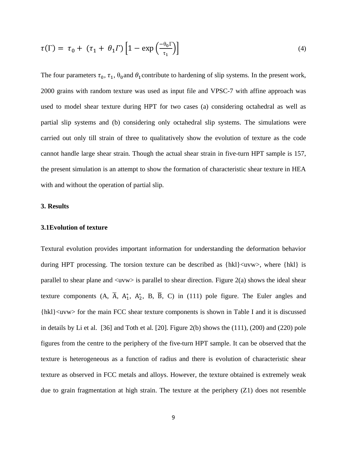$$
\tau(\Gamma) = \tau_0 + (\tau_1 + \theta_1 \Gamma) \left[ 1 - \exp\left(\frac{-\theta_0 \Gamma}{\tau_1}\right) \right] \tag{4}
$$

The four parameters  $\tau_0$ ,  $\tau_1$ ,  $\theta_0$  and  $\theta_1$ contribute to hardening of slip systems. In the present work, 2000 grains with random texture was used as input file and VPSC-7 with affine approach was used to model shear texture during HPT for two cases (a) considering octahedral as well as partial slip systems and (b) considering only octahedral slip systems. The simulations were carried out only till strain of three to qualitatively show the evolution of texture as the code cannot handle large shear strain. Though the actual shear strain in five-turn HPT sample is 157, the present simulation is an attempt to show the formation of characteristic shear texture in HEA with and without the operation of partial slip.

#### **3. Results**

#### **3.1Evolution of texture**

Textural evolution provides important information for understanding the deformation behavior during HPT processing. The torsion texture can be described as  $\{hkl\}$  <uvw>, where  $\{hkl\}$  is parallel to shear plane and  $\langle$ uvw $\rangle$  is parallel to shear direction. Figure 2(a) shows the ideal shear texture components  $(A, \overline{A}, A_1^*, A_2^*, B, \overline{B}, C)$  in (111) pole figure. The Euler angles and {hkl}<uvw> for the main FCC shear texture components is shown in Table I and it is discussed in details by Li et al. [36] and Toth et al. [20]. Figure 2(b) shows the (111), (200) and (220) pole figures from the centre to the periphery of the five-turn HPT sample. It can be observed that the texture is heterogeneous as a function of radius and there is evolution of characteristic shear texture as observed in FCC metals and alloys. However, the texture obtained is extremely weak due to grain fragmentation at high strain. The texture at the periphery  $(Z1)$  does not resemble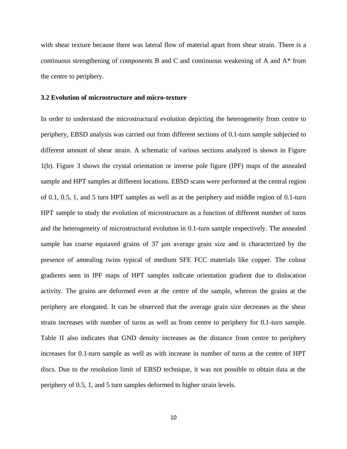with shear texture because there was lateral flow of material apart from shear strain. There is a continuous strengthening of components B and C and continuous weakening of A and A\* from the centre to periphery.

#### **3.2 Evolution of microstructure and micro-texture**

In order to understand the microstructural evolution depicting the heterogeneity from centre to periphery, EBSD analysis was carried out from different sections of 0.1-turn sample subjected to different amount of shear strain. A schematic of various sections analyzed is shown in Figure 1(b). Figure 3 shows the crystal orientation or inverse pole figure (IPF) maps of the annealed sample and HPT samples at different locations. EBSD scans were performed at the central region of 0.1, 0.5, 1, and 5 turn HPT samples as well as at the periphery and middle region of 0.1-turn HPT sample to study the evolution of microstructure as a function of different number of turns and the heterogeneity of microstructural evolution in 0.1-turn sample respectively. The annealed sample has coarse equiaxed grains of 37 μm average grain size and is characterized by the presence of annealing twins typical of medium SFE FCC materials like copper. The colour gradients seen in IPF maps of HPT samples indicate orientation gradient due to dislocation activity. The grains are deformed even at the centre of the sample, whereas the grains at the periphery are elongated. It can be observed that the average grain size decreases as the shear strain increases with number of turns as well as from centre to periphery for 0.1-turn sample. Table II also indicates that GND density increases as the distance from centre to periphery increases for 0.1-turn sample as well as with increase in number of turns at the centre of HPT discs. Due to the resolution limit of EBSD technique, it was not possible to obtain data at the periphery of 0.5, 1, and 5 turn samples deformed to higher strain levels.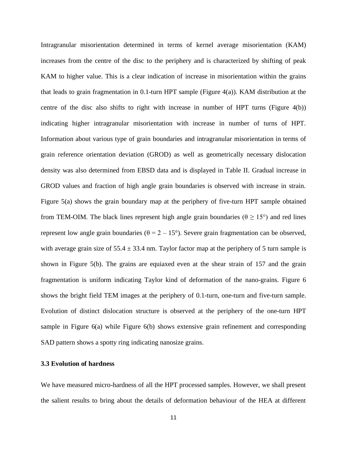Intragranular misorientation determined in terms of kernel average misorientation (KAM) increases from the centre of the disc to the periphery and is characterized by shifting of peak KAM to higher value. This is a clear indication of increase in misorientation within the grains that leads to grain fragmentation in 0.1-turn HPT sample (Figure  $4(a)$ ). KAM distribution at the centre of the disc also shifts to right with increase in number of HPT turns (Figure 4(b)) indicating higher intragranular misorientation with increase in number of turns of HPT. Information about various type of grain boundaries and intragranular misorientation in terms of grain reference orientation deviation (GROD) as well as geometrically necessary dislocation density was also determined from EBSD data and is displayed in Table II. Gradual increase in GROD values and fraction of high angle grain boundaries is observed with increase in strain. Figure 5(a) shows the grain boundary map at the periphery of five-turn HPT sample obtained from TEM-OIM. The black lines represent high angle grain boundaries ( $θ \ge 15°$ ) and red lines represent low angle grain boundaries (θ = 2 – 15°). Severe grain fragmentation can be observed, with average grain size of  $55.4 \pm 33.4$  nm. Taylor factor map at the periphery of 5 turn sample is shown in Figure 5(b). The grains are equiaxed even at the shear strain of 157 and the grain fragmentation is uniform indicating Taylor kind of deformation of the nano-grains. Figure 6 shows the bright field TEM images at the periphery of 0.1-turn, one-turn and five-turn sample. Evolution of distinct dislocation structure is observed at the periphery of the one-turn HPT sample in Figure 6(a) while Figure 6(b) shows extensive grain refinement and corresponding SAD pattern shows a spotty ring indicating nanosize grains.

#### **3.3 Evolution of hardness**

We have measured micro-hardness of all the HPT processed samples. However, we shall present the salient results to bring about the details of deformation behaviour of the HEA at different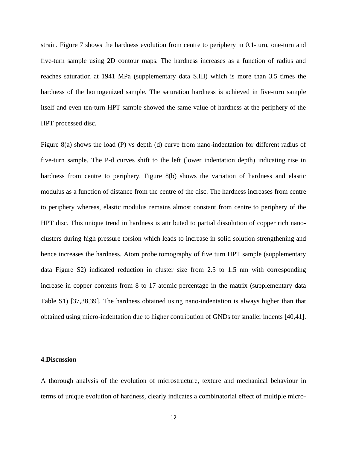strain. Figure 7 shows the hardness evolution from centre to periphery in 0.1-turn, one-turn and five-turn sample using 2D contour maps. The hardness increases as a function of radius and reaches saturation at 1941 MPa (supplementary data S.III) which is more than 3.5 times the hardness of the homogenized sample. The saturation hardness is achieved in five-turn sample itself and even ten-turn HPT sample showed the same value of hardness at the periphery of the HPT processed disc.

Figure 8(a) shows the load (P) vs depth (d) curve from nano-indentation for different radius of five-turn sample. The P-d curves shift to the left (lower indentation depth) indicating rise in hardness from centre to periphery. Figure 8(b) shows the variation of hardness and elastic modulus as a function of distance from the centre of the disc. The hardness increases from centre to periphery whereas, elastic modulus remains almost constant from centre to periphery of the HPT disc. This unique trend in hardness is attributed to partial dissolution of copper rich nanoclusters during high pressure torsion which leads to increase in solid solution strengthening and hence increases the hardness. Atom probe tomography of five turn HPT sample (supplementary data Figure S2) indicated reduction in cluster size from 2.5 to 1.5 nm with corresponding increase in copper contents from 8 to 17 atomic percentage in the matrix (supplementary data Table S1) [37,38,39]. The hardness obtained using nano-indentation is always higher than that obtained using micro-indentation due to higher contribution of GNDs for smaller indents [40,41].

#### **4.Discussion**

A thorough analysis of the evolution of microstructure, texture and mechanical behaviour in terms of unique evolution of hardness, clearly indicates a combinatorial effect of multiple micro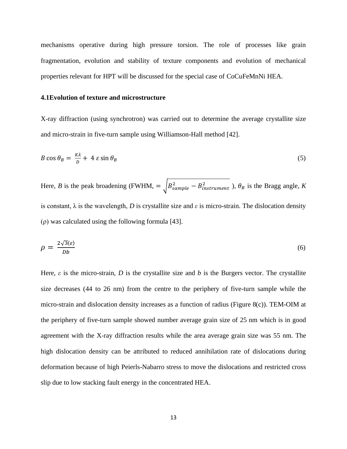mechanisms operative during high pressure torsion. The role of processes like grain fragmentation, evolution and stability of texture components and evolution of mechanical properties relevant for HPT will be discussed for the special case of CoCuFeMnNi HEA.

#### **4.1Evolution of texture and microstructure**

X-ray diffraction (using synchrotron) was carried out to determine the average crystallite size and micro-strain in five-turn sample using Williamson-Hall method [42].

$$
B\cos\theta_B = \frac{\kappa\lambda}{D} + 4\,\varepsilon\sin\theta_B\tag{5}
$$

Here, *B* is the peak broadening (FWHM,  $= \int_{0}^{2} B_{sample}^{2} - B_{instrument}^{2}$ ),  $\theta_{B}$  is the Bragg angle, *K* is constant,  $\lambda$  is the wavelength, *D* is crystallite size and  $\varepsilon$  is micro-strain. The dislocation density (ρ) was calculated using the following formula [43].

$$
\rho = \frac{2\sqrt{3}\langle \varepsilon \rangle}{Db} \tag{6}
$$

Here,  $\varepsilon$  is the micro-strain, *D* is the crystallite size and *b* is the Burgers vector. The crystallite size decreases (44 to 26 nm) from the centre to the periphery of five-turn sample while the micro-strain and dislocation density increases as a function of radius (Figure 8(c)). TEM-OIM at the periphery of five-turn sample showed number average grain size of 25 nm which is in good agreement with the X-ray diffraction results while the area average grain size was 55 nm. The high dislocation density can be attributed to reduced annihilation rate of dislocations during deformation because of high Peierls-Nabarro stress to move the dislocations and restricted cross slip due to low stacking fault energy in the concentrated HEA.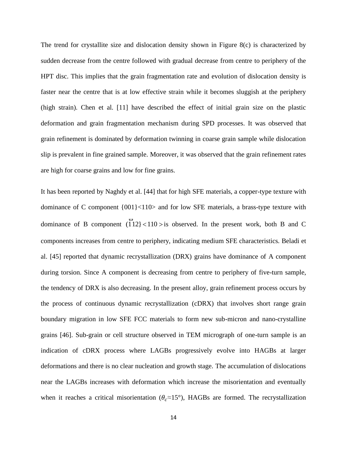The trend for crystallite size and dislocation density shown in Figure  $8(c)$  is characterized by sudden decrease from the centre followed with gradual decrease from centre to periphery of the HPT disc. This implies that the grain fragmentation rate and evolution of dislocation density is faster near the centre that is at low effective strain while it becomes sluggish at the periphery (high strain). Chen et al. [11] have described the effect of initial grain size on the plastic deformation and grain fragmentation mechanism during SPD processes. It was observed that grain refinement is dominated by deformation twinning in coarse grain sample while dislocation slip is prevalent in fine grained sample. Moreover, it was observed that the grain refinement rates are high for coarse grains and low for fine grains.

It has been reported by Naghdy et al. [44] that for high SFE materials, a copper-type texture with dominance of C component {001}<110> and for low SFE materials, a brass-type texture with dominance of B component  $(112)$  < 110 >  $\omega$ is observed. In the present work, both B and C components increases from centre to periphery, indicating medium SFE characteristics. Beladi et al. [45] reported that dynamic recrystallization (DRX) grains have dominance of A component during torsion. Since A component is decreasing from centre to periphery of five-turn sample, the tendency of DRX is also decreasing. In the present alloy, grain refinement process occurs by the process of continuous dynamic recrystallization (cDRX) that involves short range grain boundary migration in low SFE FCC materials to form new sub-micron and nano-crystalline grains [46]. Sub-grain or cell structure observed in TEM micrograph of one-turn sample is an indication of cDRX process where LAGBs progressively evolve into HAGBs at larger deformations and there is no clear nucleation and growth stage. The accumulation of dislocations near the LAGBs increases with deformation which increase the misorientation and eventually when it reaches a critical misorientation ( $\theta_c \approx 15^{\circ}$ ), HAGBs are formed. The recrystallization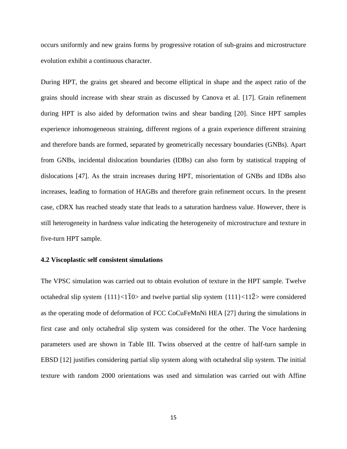occurs uniformly and new grains forms by progressive rotation of sub-grains and microstructure evolution exhibit a continuous character.

During HPT, the grains get sheared and become elliptical in shape and the aspect ratio of the grains should increase with shear strain as discussed by Canova et al. [17]. Grain refinement during HPT is also aided by deformation twins and shear banding [20]. Since HPT samples experience inhomogeneous straining, different regions of a grain experience different straining and therefore bands are formed, separated by geometrically necessary boundaries (GNBs). Apart from GNBs, incidental dislocation boundaries (IDBs) can also form by statistical trapping of dislocations [47]. As the strain increases during HPT, misorientation of GNBs and IDBs also increases, leading to formation of HAGBs and therefore grain refinement occurs. In the present case, cDRX has reached steady state that leads to a saturation hardness value. However, there is still heterogeneity in hardness value indicating the heterogeneity of microstructure and texture in five-turn HPT sample.

#### **4.2 Viscoplastic self consistent simulations**

The VPSC simulation was carried out to obtain evolution of texture in the HPT sample. Twelve octahedral slip system  $\{111\} \le 11$   $\Omega$  and twelve partial slip system  $\{111\} \le 112$  were considered as the operating mode of deformation of FCC CoCuFeMnNi HEA [27] during the simulations in first case and only octahedral slip system was considered for the other. The Voce hardening parameters used are shown in Table III. Twins observed at the centre of half-turn sample in EBSD [12] justifies considering partial slip system along with octahedral slip system. The initial texture with random 2000 orientations was used and simulation was carried out with Affine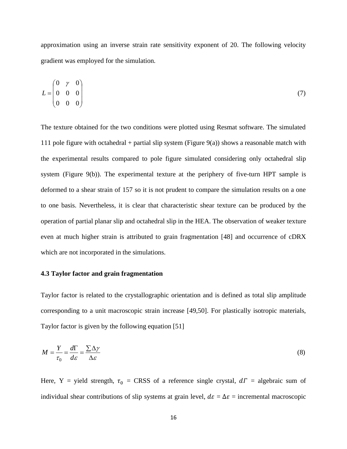approximation using an inverse strain rate sensitivity exponent of 20. The following velocity gradient was employed for the simulation.

$$
L = \begin{pmatrix} 0 & \gamma & 0 \\ 0 & 0 & 0 \\ 0 & 0 & 0 \end{pmatrix} \tag{7}
$$

The texture obtained for the two conditions were plotted using Resmat software. The simulated 111 pole figure with octahedral + partial slip system (Figure  $9(a)$ ) shows a reasonable match with the experimental results compared to pole figure simulated considering only octahedral slip system (Figure 9(b)). The experimental texture at the periphery of five-turn HPT sample is deformed to a shear strain of 157 so it is not prudent to compare the simulation results on a one to one basis. Nevertheless, it is clear that characteristic shear texture can be produced by the operation of partial planar slip and octahedral slip in the HEA. The observation of weaker texture even at much higher strain is attributed to grain fragmentation [48] and occurrence of cDRX which are not incorporated in the simulations.

#### **4.3 Taylor factor and grain fragmentation**

Taylor factor is related to the crystallographic orientation and is defined as total slip amplitude corresponding to a unit macroscopic strain increase [49,50]. For plastically isotropic materials, Taylor factor is given by the following equation [51]

$$
M = \frac{Y}{\tau_0} = \frac{d\Gamma}{d\varepsilon} = \frac{\sum \Delta \gamma}{\Delta \varepsilon} \tag{8}
$$

Here, Y = yield strength,  $\tau_0$  = CRSS of a reference single crystal,  $d\Gamma$  = algebraic sum of individual shear contributions of slip systems at grain level,  $d\varepsilon = \Delta \varepsilon$  = incremental macroscopic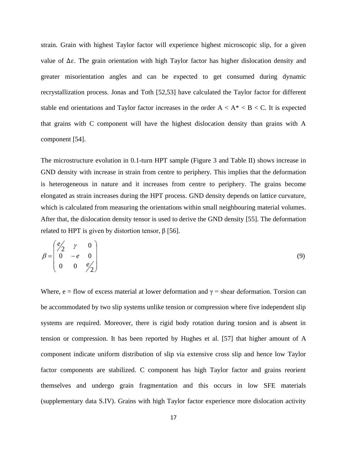strain. Grain with highest Taylor factor will experience highest microscopic slip, for a given value of Δε. The grain orientation with high Taylor factor has higher dislocation density and greater misorientation angles and can be expected to get consumed during dynamic recrystallization process. Jonas and Toth [52,53] have calculated the Taylor factor for different stable end orientations and Taylor factor increases in the order  $A < A^* < B < C$ . It is expected that grains with C component will have the highest dislocation density than grains with A component [54].

The microstructure evolution in 0.1-turn HPT sample (Figure 3 and Table II) shows increase in GND density with increase in strain from centre to periphery. This implies that the deformation is heterogeneous in nature and it increases from centre to periphery. The grains become elongated as strain increases during the HPT process. GND density depends on lattice curvature, which is calculated from measuring the orientations within small neighbouring material volumes. After that, the dislocation density tensor is used to derive the GND density [55]. The deformation related to HPT is given by distortion tensor,  $β$  [56].

$$
\beta = \begin{pmatrix} e'_2 & \gamma & 0 \\ 0 & -e & 0 \\ 0 & 0 & e'_2 \end{pmatrix}
$$
 (9)

Where, e = flow of excess material at lower deformation and  $\gamma$  = shear deformation. Torsion can be accommodated by two slip systems unlike tension or compression where five independent slip systems are required. Moreover, there is rigid body rotation during torsion and is absent in tension or compression. It has been reported by Hughes et al. [57] that higher amount of A component indicate uniform distribution of slip via extensive cross slip and hence low Taylor factor components are stabilized. C component has high Taylor factor and grains reorient themselves and undergo grain fragmentation and this occurs in low SFE materials (supplementary data S.IV). Grains with high Taylor factor experience more dislocation activity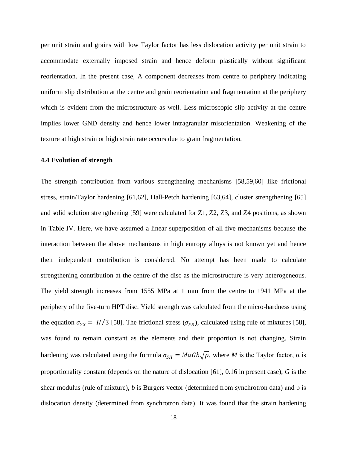per unit strain and grains with low Taylor factor has less dislocation activity per unit strain to accommodate externally imposed strain and hence deform plastically without significant reorientation. In the present case, A component decreases from centre to periphery indicating uniform slip distribution at the centre and grain reorientation and fragmentation at the periphery which is evident from the microstructure as well. Less microscopic slip activity at the centre implies lower GND density and hence lower intragranular misorientation. Weakening of the texture at high strain or high strain rate occurs due to grain fragmentation.

#### **4.4 Evolution of strength**

The strength contribution from various strengthening mechanisms [58,59,60] like frictional stress, strain/Taylor hardening [61,62], Hall-Petch hardening [63,64], cluster strengthening [65] and solid solution strengthening [59] were calculated for Z1, Z2, Z3, and Z4 positions, as shown in Table IV. Here, we have assumed a linear superposition of all five mechanisms because the interaction between the above mechanisms in high entropy alloys is not known yet and hence their independent contribution is considered. No attempt has been made to calculate strengthening contribution at the centre of the disc as the microstructure is very heterogeneous. The yield strength increases from 1555 MPa at 1 mm from the centre to 1941 MPa at the periphery of the five-turn HPT disc. Yield strength was calculated from the micro-hardness using the equation  $\sigma_{YS} = H/3$  [58]. The frictional stress ( $\sigma_{FR}$ ), calculated using rule of mixtures [58], was found to remain constant as the elements and their proportion is not changing. Strain hardening was calculated using the formula  $\sigma_{SH} = M \alpha G b \sqrt{\rho}$ , where *M* is the Taylor factor,  $\alpha$  is proportionality constant (depends on the nature of dislocation [61], 0.16 in present case), *G* is the shear modulus (rule of mixture), *b* is Burgers vector (determined from synchrotron data) and  $\rho$  is dislocation density (determined from synchrotron data). It was found that the strain hardening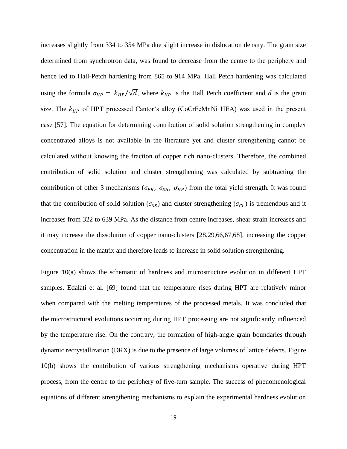increases slightly from 334 to 354 MPa due slight increase in dislocation density. The grain size determined from synchrotron data, was found to decrease from the centre to the periphery and hence led to Hall-Petch hardening from 865 to 914 MPa. Hall Petch hardening was calculated using the formula  $\sigma_{HP} = k_{HP}/\sqrt{d}$ , where  $k_{HP}$  is the Hall Petch coefficient and *d* is the grain size. The  $k_{HP}$  of HPT processed Cantor's alloy (CoCrFeMnNi HEA) was used in the present case [57]. The equation for determining contribution of solid solution strengthening in complex concentrated alloys is not available in the literature yet and cluster strengthening cannot be calculated without knowing the fraction of copper rich nano-clusters. Therefore, the combined contribution of solid solution and cluster strengthening was calculated by subtracting the contribution of other 3 mechanisms ( $\sigma_{FR}$ ,  $\sigma_{SH}$ ,  $\sigma_{HP}$ ) from the total yield strength. It was found that the contribution of solid solution ( $\sigma_{SS}$ ) and cluster strengthening ( $\sigma_{CL}$ ) is tremendous and it increases from 322 to 639 MPa. As the distance from centre increases, shear strain increases and it may increase the dissolution of copper nano-clusters [28,29,66,67,68], increasing the copper concentration in the matrix and therefore leads to increase in solid solution strengthening.

Figure 10(a) shows the schematic of hardness and microstructure evolution in different HPT samples. Edalati et al. [69] found that the temperature rises during HPT are relatively minor when compared with the melting temperatures of the processed metals. It was concluded that the [microstructural evolutions](https://www.sciencedirect.com/topics/materials-science/microstructural-evolution) occurring during HPT processing are not significantly influenced by the temperature rise. On the contrary, the formation of high-angle grain boundaries through dynamic recrystallization (DRX) is due to the presence of large volumes of lattice defects. Figure 10(b) shows the contribution of various strengthening mechanisms operative during HPT process, from the centre to the periphery of five-turn sample. The success of phenomenological equations of different strengthening mechanisms to explain the experimental hardness evolution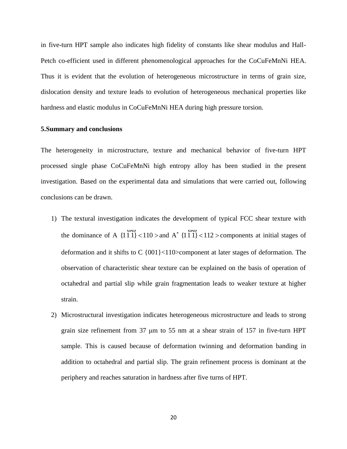in five-turn HPT sample also indicates high fidelity of constants like shear modulus and Hall-Petch co-efficient used in different phenomenological approaches for the CoCuFeMnNi HEA. Thus it is evident that the evolution of heterogeneous microstructure in terms of grain size, dislocation density and texture leads to evolution of heterogeneous mechanical properties like hardness and elastic modulus in CoCuFeMnNi HEA during high pressure torsion.

#### **5.Summary and conclusions**

The heterogeneity in microstructure, texture and mechanical behavior of five-turn HPT processed single phase CoCuFeMnNi high entropy alloy has been studied in the present investigation. Based on the experimental data and simulations that were carried out, following conclusions can be drawn.

- 1) The textural investigation indicates the development of typical FCC shear texture with the dominance of A  $\{111\}$  < 110 >  $\omega\omega$ and  $A^*$  {111} < 112 >  $\omega\omega$ components at initial stages of deformation and it shifts to C {001}<110>component at later stages of deformation. The observation of characteristic shear texture can be explained on the basis of operation of octahedral and partial slip while grain fragmentation leads to weaker texture at higher strain.
- 2) Microstructural investigation indicates heterogeneous microstructure and leads to strong grain size refinement from  $37 \mu m$  to  $55 \mu m$  at a shear strain of  $157 \mu m$  five-turn HPT sample. This is caused because of deformation twinning and deformation banding in addition to octahedral and partial slip. The grain refinement process is dominant at the periphery and reaches saturation in hardness after five turns of HPT.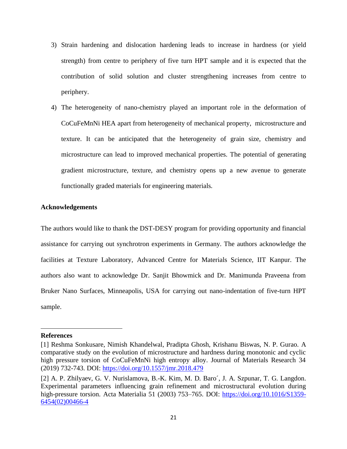- 3) Strain hardening and dislocation hardening leads to increase in hardness (or yield strength) from centre to periphery of five turn HPT sample and it is expected that the contribution of solid solution and cluster strengthening increases from centre to periphery.
- 4) The heterogeneity of nano-chemistry played an important role in the deformation of CoCuFeMnNi HEA apart from heterogeneity of mechanical property, microstructure and texture. It can be anticipated that the heterogeneity of grain size, chemistry and microstructure can lead to improved mechanical properties. The potential of generating gradient microstructure, texture, and chemistry opens up a new avenue to generate functionally graded materials for engineering materials.

#### **Acknowledgements**

The authors would like to thank the DST-DESY program for providing opportunity and financial assistance for carrying out synchrotron experiments in Germany. The authors acknowledge the facilities at Texture Laboratory, Advanced Centre for Materials Science, IIT Kanpur. The authors also want to acknowledge Dr. Sanjit Bhowmick and Dr. Manimunda Praveena from Bruker Nano Surfaces, Minneapolis, USA for carrying out nano-indentation of five-turn HPT sample.

#### **References**

<sup>[1]</sup> Reshma Sonkusare, Nimish Khandelwal, Pradipta Ghosh, Krishanu Biswas, N. P. Gurao. A comparative study on the evolution of microstructure and hardness during monotonic and cyclic high pressure torsion of CoCuFeMnNi high entropy alloy. Journal of Materials Research 34 (2019) 732-743. DOI:<https://doi.org/10.1557/jmr.2018.479>

<sup>[2]</sup> A. P. Zhilyaev, G. V. Nurislamova, B.-K. Kim, M. D. Baro´, J. A. Szpunar, T. G. Langdon. Experimental parameters influencing grain refinement and microstructural evolution during high-pressure torsion. Acta Materialia 51 (2003) 753–765. DOI: [https://doi.org/10.1016/S1359-](https://doi.org/10.1016/S1359-6454(02)00466-4) [6454\(02\)00466-4](https://doi.org/10.1016/S1359-6454(02)00466-4)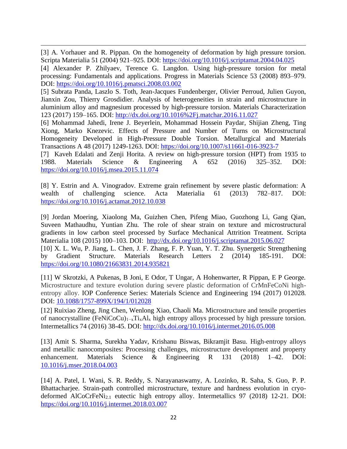[3] A. Vorhauer and R. Pippan. On the homogeneity of deformation by high pressure torsion. Scripta Materialia 51 (2004) 921–925. DOI:<https://doi.org/10.1016/j.scriptamat.2004.04.025>

[4] Alexander P. Zhilyaev, Terence G. Langdon. Using high-pressure torsion for metal processing: Fundamentals and applications. Progress in Materials Science 53 (2008) 893–979. DOI:<https://doi.org/10.1016/j.pmatsci.2008.03.002>

[5] Subrata Panda, Laszlo S. Toth, Jean-Jacques Fundenberger, Olivier Perroud, Julien Guyon, Jianxin Zou, Thierry Grosdidier. Analysis of heterogeneities in strain and microstructure in aluminium alloy and magnesium processed by high-pressure torsion. Materials Characterization 123 (2017) 159–165. DOI:<http://dx.doi.org/10.1016%2Fj.matchar.2016.11.027>

[6] Mohammad Jahedi, Irene J. Beyerlein, Mohammad Hossein Paydar, Shijian Zheng, Ting Xiong, Marko Knezevic. Effects of Pressure and Number of Turns on Microstructural Homogeneity Developed in High-Pressure Double Torsion. Metallurgical and Materials Transactions A 48 (2017) 1249-1263. DOI:<https://doi.org/10.1007/s11661-016-3923-7>

[7] Kaveh Edalati and Zenji Horita. A review on high-pressure torsion (HPT) from 1935 to 1988. Materials Science & Engineering A 652 (2016) 325–352. DOI: <https://doi.org/10.1016/j.msea.2015.11.074>

[8] Y. Estrin and A. Vinogradov. Extreme grain refinement by severe plastic deformation: A wealth of challenging science. Acta Materialia 61 (2013) 782–817. DOI: <https://doi.org/10.1016/j.actamat.2012.10.038>

[9] Jordan Moering, Xiaolong Ma, Guizhen Chen, Pifeng Miao, Guozhong Li, Gang Qian, Suveen Mathaudhu, Yuntian Zhu. The role of shear strain on texture and microstructural gradients in low carbon steel processed by Surface Mechanical Attrition Treatment. Scripta Materialia 108 (2015) 100–103. DOI: <http://dx.doi.org/10.1016/j.scriptamat.2015.06.027> [10] [X. L. Wu,](http://www.tandfonline.com/author/Wu%2C+X+L) [P. Jiang,](http://www.tandfonline.com/author/Jiang%2C+P) [L. Chen,](http://www.tandfonline.com/author/Chen%2C+L) [J. F. Zhang,](http://www.tandfonline.com/author/Zhang%2C+J+F) [F. P. Yuan,](http://www.tandfonline.com/author/Yuan%2C+F+P) [Y. T. Zhu.](http://www.tandfonline.com/author/Zhu%2C+Y+T) Synergetic Strengthening

by Gradient Structure. [Materials Research Letters](http://www.tandfonline.com/toc/tmrl20/current) 2 (2014) 185-191. DOI: <https://doi.org/10.1080/21663831.2014.935821>

[11] W Skrotzki, A Pukenas, B Joni, E Odor, T Ungar, A Hohenwarter, R Pippan, E P George. Microstructure and texture evolution during severe plastic deformation of CrMnFeCoNi highentropy alloy. IOP Conference Series: Materials Science and Engineering 194 (2017) 012028. DOI: 10.1088/1757-899X/194/1/012028

[12] Ruixiao Zheng, Jing Chen, Wenlong Xiao, Chaoli Ma. Microstructure and tensile properties of nanocrystalline (FeNiCoCu)1−xTixAl<sup>x</sup> high entropy alloys processed by high pressure torsion. Intermetallics 74 (2016) 38-45. DOI:<http://dx.doi.org/10.1016/j.intermet.2016.05.008>

[13] Amit S. Sharma, Surekha Yadav, Krishanu Biswas, Bikramjit Basu. High-entropy alloys and metallic nanocomposites: Processing challenges, microstructure development and property enhancement. Materials Science & Engineering R 131 (2018) 1–42. DOI: 10.1016/j.mser.2018.04.003

[14] A. Patel, I. Wani, S. R. Reddy, S. Narayanaswamy, A. Lozinko, R. Saha, S. Guo, P. P. Bhattacharjee. Strain-path controlled microstructure, texture and hardness evolution in cryodeformed AlCoCrFeNi2.1 eutectic high entropy alloy. Intermetallics 97 (2018) 12-21. DOI: <https://doi.org/10.1016/j.intermet.2018.03.007>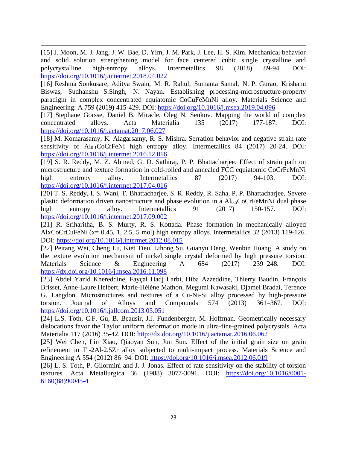[15] J. Moon, M. J. Jang, J. W. Bae, D. Yim, J. M. Park, J. Lee, H. S. Kim. Mechanical behavior and solid solution strengthening model for face centered cubic single crystalline and polycrystalline high-entropy alloys. Intermetallics 98 (2018) 89-94. DOI: <https://doi.org/10.1016/j.intermet.2018.04.022>

[16] Reshma [Sonkusare,](https://www.sciencedirect.com/science/article/pii/S0921509319305714#!) Aditya [Swain,](https://www.sciencedirect.com/science/article/pii/S0921509319305714#!) M. R. [Rahul,](https://www.sciencedirect.com/science/article/pii/S0921509319305714#!) [Sumanta](https://www.sciencedirect.com/science/article/pii/S0921509319305714#!) Samal, N. P. [Gurao,](https://www.sciencedirect.com/science/article/pii/S0921509319305714#!) [Krishanu](https://www.sciencedirect.com/science/article/pii/S0921509319305714#!) [Biswas,](https://www.sciencedirect.com/science/article/pii/S0921509319305714#!) [Sudhanshu S.Singh,](https://www.sciencedirect.com/science/article/pii/S0921509319305714#!) N. [Nayan.](https://www.sciencedirect.com/science/article/pii/S0921509319305714#!) Establishing processing-microstructure-property paradigm in complex concentrated equiatomic CoCuFeMnNi alloy. [Materials Science and](https://www.sciencedirect.com/science/journal/09215093)  [Engineering: A](https://www.sciencedirect.com/science/journal/09215093) 759 **(**2019**)** 415-429. DOI:<https://doi.org/10.1016/j.msea.2019.04.096>

[17] Stephane Gorsse, Daniel B. Miracle, Oleg N. Senkov. Mapping the world of complex concentrated alloys. Acta Materialia 135 (2017) 177-187. DOI: <https://doi.org/10.1016/j.actamat.2017.06.027>

[18] M. Komarasamy, K. Alagarsamy, R. S. Mishra. Serration behavior and negative strain rate sensitivity of  $Al<sub>0.1</sub>CoCFFeNi$  high entropy alloy. Intermetallics 84 (2017) 20-24. DOI: <https://doi.org/10.1016/j.intermet.2016.12.016>

[19] S. R. Reddy, M. Z. Ahmed, G. D. Sathiraj, P. P. Bhattacharjee. Effect of strain path on [microstructure and texture formation in cold-rolled and annealed FCC equiatomic CoCrFeMnNi](https://www.sciencedirect.com/science/article/pii/S0966979517300754)  [high entropy alloy.](https://www.sciencedirect.com/science/article/pii/S0966979517300754) Intermetallics 87 (2017) 94-103. DOI: <https://doi.org/10.1016/j.intermet.2017.04.016>

[20] T. S. Reddy, I. S. Wani, T. Bhattacharjee, S. R. Reddy, R. Saha, P. P. Bhattacharjee. [Severe](https://www.sciencedirect.com/science/article/pii/S0966979517305952)  plastic deformation driven nanostructure and phase evolution in a  $Al<sub>0.5</sub>CoCrFeMnNi$  dual phase [high entropy alloy.](https://www.sciencedirect.com/science/article/pii/S0966979517305952) Intermetallics 91 (2017) 150-157. DOI: <https://doi.org/10.1016/j.intermet.2017.09.002>

[21] R. Sriharitha, B. S. Murty, R. S. Kottada. [Phase formation in mechanically alloyed](https://www.sciencedirect.com/science/article/pii/S0966979512003056)  [AlxCoCrCuFeNi \(x= 0.45, 1, 2.5, 5 mol\) high entropy alloys.](https://www.sciencedirect.com/science/article/pii/S0966979512003056) Intermetallics 32 (2013) 119-126. DOI:<https://doi.org/10.1016/j.intermet.2012.08.015>

[22] Peitang Wei, Cheng Lu, Kiet Tieu, Lihong Su, Guanyu Deng, Wenbin Huang. A study on the texture evolution mechanism of nickel single crystal deformed by high pressure torsion. Materials Science & Engineering A 684 (2017) 239–248. DOI: <https://dx.doi.org/10.1016/j.msea.2016.11.098>

[23] Abdel Yazid Khereddine, Fayçal Hadj Larbi, Hiba Azzeddine, Thierry Baudin, François Brisset, Anne-Laure Helbert, Marie-Hélène Mathon, Megumi Kawasaki, Djamel Bradai, Terence G. Langdon. Microstructures and textures of a Cu-Ni-Si alloy processed by high-pressure torsion. Journal of Alloys and Compounds 574 (2013) 361–367. DOI: <https://doi.org/10.1016/j.jallcom.2013.05.051>

[24] L.S. Toth, C.F. Gu, B. Beausir, J.J. Fundenberger, M. Hoffman. Geometrically necessary dislocations favor the Taylor uniform deformation mode in ultra-fine-grained polycrystals. Acta Materialia 117 (2016) 35-42. DOI:<http://dx.doi.org/10.1016/j.actamat.2016.06.062>

[25] Wei Chen, Lin Xiao, Qiaoyan Sun, Jun Sun. Effect of the initial grain size on grain refinement in Ti-2Al-2.5Zr alloy subjected to multi-impact process. Materials Science and Engineering A 554 (2012) 86–94. DOI:<https://doi.org/10.1016/j.msea.2012.06.019>

[26] L. S. Toth, P. Gilormini and J. J. Jonas. Effect of rate sensitivity on the stability of torsion textures. Acta Metallurgica 36 (1988) 3077-3091. DOI: [https://doi.org/10.1016/0001-](https://doi.org/10.1016/0001-6160(88)90045-4) [6160\(88\)90045-4](https://doi.org/10.1016/0001-6160(88)90045-4)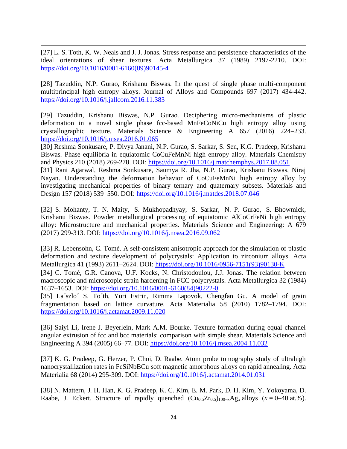[27] L. S. Toth, K. W. Neals and J. J. Jonas. Stress response and persistence characteristics of the ideal orientations of shear textures. Acta Metallurgica 37 (1989) 2197-2210. DOI: [https://doi.org/10.1016/0001-6160\(89\)90145-4](https://doi.org/10.1016/0001-6160(89)90145-4)

[28] Tazuddin, N.P. Gurao, Krishanu Biswas. In the quest of single phase multi-component multiprincipal high entropy alloys. Journal of Alloys and Compounds 697 (2017) 434-442. <https://doi.org/10.1016/j.jallcom.2016.11.383>

[29] Tazuddin, Krishanu Biswas, N.P. Gurao. Deciphering micro-mechanisms of plastic deformation in a novel single phase fcc-based MnFeCoNiCu high entropy alloy using crystallographic texture. Materials Science & Engineering A 657 (2016) 224–233. <https://doi.org/10.1016/j.msea.2016.01.065>

[30] Reshma Sonkusare, P. Divya Janani, N.P. Gurao, S. Sarkar, S. Sen, K.G. Pradeep, Krishanu Biswas. Phase equilibria in equiatomic CoCuFeMnNi high entropy alloy. Materials Chemistry and Physics 210 (2018) 269-278. DOI[: https://doi.org/10.1016/j.matchemphys.2017.08.051](https://doi.org/10.1016/j.matchemphys.2017.08.051)

[31] Rani Agarwal, Reshma Sonkusare, Saumya R. Jha, N.P. Gurao, Krishanu Biswas, Niraj Nayan. Understanding the deformation behavior of CoCuFeMnNi high entropy alloy by investigating mechanical properties of binary ternary and quaternary subsets. Materials and Design 157 (2018) 539–550. DOI:<https://doi.org/10.1016/j.matdes.2018.07.046>

**[**32**]** S. [Mohanty,](https://www.sciencedirect.com/science/article/pii/S0921509316311479#!) T. N. [Maity,](https://www.sciencedirect.com/science/article/pii/S0921509316311479#!) S. [Mukhopadhyay,](https://www.sciencedirect.com/science/article/pii/S0921509316311479#!) S. [Sarkar,](https://www.sciencedirect.com/science/article/pii/S0921509316311479#!) N. P. [Gurao,](https://www.sciencedirect.com/science/article/pii/S0921509316311479#!) S. [Bhowmick,](https://www.sciencedirect.com/science/article/pii/S0921509316311479#!) [Krishanu Biswas.](https://www.sciencedirect.com/science/article/pii/S0921509316311479#!) Powder metallurgical processing of equiatomic AlCoCrFeNi high entropy alloy: Microstructure and mechanical properties. [Materials Science and Engineering: A](https://www.sciencedirect.com/science/journal/09215093) 679 (2017) 299-313. DOI:<https://doi.org/10.1016/j.msea.2016.09.062>

[33] R. Lebensohn, C. Tomé. [A self-consistent anisotropic approach for the simulation of plastic](https://www.sciencedirect.com/science/article/pii/095671519390130K)  [deformation and texture development of polycrystals: Application to zirconium alloys.](https://www.sciencedirect.com/science/article/pii/095671519390130K) Acta Metallurgica 41 (1993) 2611–2624. DOI: [https://doi.org/10.1016/0956-7151\(93\)90130-K](https://doi.org/10.1016/0956-7151(93)90130-K)

[34] C. Tomé, G.R. Canova, U.F. Kocks, N. Christodoulou, J.J. Jonas. The relation between macroscopic and microscopic strain hardening in FCC polycrystals. Acta Metallurgica 32 (1984) 1637–1653. DOI: [https://doi.org/10.1016/0001-6160\(84\)90222-0](https://doi.org/10.1016/0001-6160(84)90222-0)

[35] La´szlo´ S. To´th, Yuri Estrin, Rimma Lapovok, Chengfan Gu. A model of grain fragmentation based on lattice curvature. Acta Materialia 58 (2010) 1782–1794. DOI: <https://doi.org/10.1016/j.actamat.2009.11.020>

[36] Saiyi Li, Irene J. Beyerlein, Mark A.M. Bourke. Texture formation during equal channel angular extrusion of fcc and bcc materials: comparison with simple shear. Materials Science and Engineering A 394 (2005) 66–77. DOI:<https://doi.org/10.1016/j.msea.2004.11.032>

[37] K. G. Pradeep, G. Herzer, P. Choi, D. Raabe. Atom probe tomography study of ultrahigh nanocrystallization rates in FeSiNbBCu soft magnetic amorphous alloys on rapid annealing. Acta Materialia 68 (2014) 295-309. DOI:<https://doi.org/10.1016/j.actamat.2014.01.031>

[38] [N. Mattern,](https://www.sciencedirect.com/science/article/pii/S0925838814008603#!) [J. H. Han,](https://www.sciencedirect.com/science/article/pii/S0925838814008603#!) [K. G. Pradeep,](https://www.sciencedirect.com/science/article/pii/S0925838814008603#!) [K. C. Kim,](https://www.sciencedirect.com/science/article/pii/S0925838814008603#!) [E. M. Park,](https://www.sciencedirect.com/science/article/pii/S0925838814008603#!) [D. H. Kim,](https://www.sciencedirect.com/science/article/pii/S0925838814008603#!) [Y. Yokoyama,](https://www.sciencedirect.com/science/article/pii/S0925838814008603#!) [D.](https://www.sciencedirect.com/science/article/pii/S0925838814008603#!)  [Raabe,](https://www.sciencedirect.com/science/article/pii/S0925838814008603#!) [J. Eckert.](https://www.sciencedirect.com/science/article/pii/S0925838814008603#!) Structure of rapidly quenched  $(Cu_{0.5}Zr_{0.5})_{100-x}Ag_x$  alloys ( $x = 0-40$  at.%).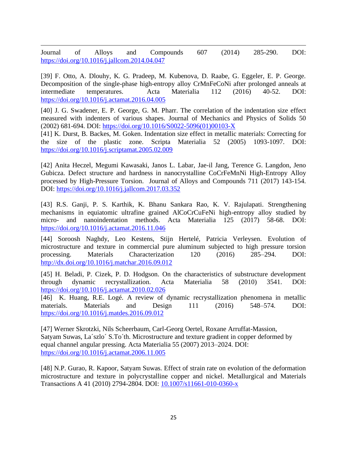Journal of Alloys and Compounds 607 (2014) 285-290. DOI: <https://doi.org/10.1016/j.jallcom.2014.04.047>

[39] F. Otto, A. Dlouhy, K. G. Pradeep, M. Kubenova, D. Raabe, G. Eggeler, E. P. George. Decomposition of the single-phase high-entropy alloy CrMnFeCoNi after prolonged anneals at intermediate temperatures. Acta Materialia 112 (2016) 40-52. DOI: <https://doi.org/10.1016/j.actamat.2016.04.005>

[40] J. G. Swadener, E. P. George, G. M. Pharr. The correlation of the indentation size effect [measured with indenters of various shapes.](https://www.sciencedirect.com/science/article/pii/S002250960100103X) Journal of Mechanics and Physics of Solids 50 (2002) 681-694. DOI: [https://doi.org/10.1016/S0022-5096\(01\)00103-X](https://doi.org/10.1016/S0022-5096(01)00103-X)

[41] K. Durst, B. Backes, M. Goken. Indentation size effect in metallic materials: Correcting for the size of the plastic zone. Scripta Materialia 52 (2005) 1093-1097. DOI: <https://doi.org/10.1016/j.scriptamat.2005.02.009>

[42] Anita Heczel, Megumi Kawasaki, Janos L. Labar, Jae-il Jang, Terence G. Langdon, Jeno Gubicza. Defect structure and hardness in nanocrystalline CoCrFeMnNi High-Entropy Alloy processed by High-Pressure Torsion. Journal of Alloys and Compounds 711 (2017) 143-154. DOI:<https://doi.org/10.1016/j.jallcom.2017.03.352>

[43] R.S. Ganji, P. S. Karthik, K. Bhanu Sankara Rao, K. V. Rajulapati. [Strengthening](https://www.sciencedirect.com/science/article/pii/S1359645416309132)  [mechanisms in equiatomic ultrafine grained AlCoCrCuFeNi high-entropy alloy studied by](https://www.sciencedirect.com/science/article/pii/S1359645416309132)  micro- [and nanoindentation methods.](https://www.sciencedirect.com/science/article/pii/S1359645416309132) Acta Materialia 125 (2017) 58-68. DOI: <https://doi.org/10.1016/j.actamat.2016.11.046>

[44] Soroosh Naghdy, Leo Kestens, Stijn Hertelé, Patricia Verleysen. Evolution of microstructure and texture in commercial pure aluminum subjected to high pressure torsion processing. Materials Characterization 120 (2016) 285–294. DOI: <http://dx.doi.org/10.1016/j.matchar.2016.09.012>

[45] H. Beladi, P. Cizek, P. D. Hodgson. [On the characteristics of substructure development](https://www.sciencedirect.com/science/article/pii/S1359645410001126)  [through dynamic recrystallization.](https://www.sciencedirect.com/science/article/pii/S1359645410001126) Acta Materialia 58 (2010) 3541. DOI: <https://doi.org/10.1016/j.actamat.2010.02.026>

[46] K. Huang, R.E. Logé. A review of dynamic recrystallization phenomena in metallic materials. Materials and Design 111 (2016) 548–574. DOI: <https://doi.org/10.1016/j.matdes.2016.09.012>

[47] Werner Skrotzki, Nils Scheerbaum, Carl-Georg Oertel, Roxane Arruffat-Massion, Satyam Suwas, La´szlo´ S.To´th. Microstructure and texture gradient in copper deformed by equal channel angular pressing. Acta Materialia 55 (2007) 2013–2024. DOI: <https://doi.org/10.1016/j.actamat.2006.11.005>

[48] N.P. Gurao, R. Kapoor, Satyam Suwas. [Effect of strain rate on evolution of the deformation](https://link.springer.com/article/10.1007/s11661-010-0360-x)  [microstructure and texture in polycrystalline copper and nickel.](https://link.springer.com/article/10.1007/s11661-010-0360-x) Metallurgical and Materials Transactions A 41 (2010) 2794-2804. DOI: 10.1007/s11661-010-0360-x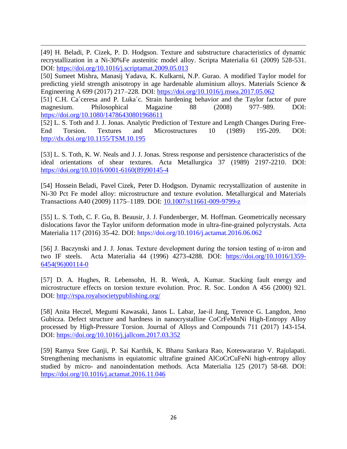[49] H. Beladi, P. Cizek, P. D. Hodgson. Texture and substructure characteristics of dynamic recrystallization in a Ni-30%Fe austenitic model alloy. Scripta Materialia 61 (2009) 528-531. DOI:<https://doi.org/10.1016/j.scriptamat.2009.05.013>

[50] Sumeet Mishra, Manasij Yadava, K. Kulkarni, N.P. Gurao. [A modified Taylor model for](https://www.sciencedirect.com/science/article/pii/S0921509317306792)  [predicting yield strength anisotropy in age hardenable aluminium alloys.](https://www.sciencedirect.com/science/article/pii/S0921509317306792) Materials Science & Engineering A 699 (2017) 217–228. DOI:<https://doi.org/10.1016/j.msea.2017.05.062>

[51] C.H. Ca´ceresa and P. Luka´c. Strain hardening behavior and the Taylor factor of pure magnesium. Philosophical Magazine 88 (2008) 977–989. DOI: <https://doi.org/10.1080/14786430801968611>

[52] L. S. Toth and J. J. Jonas. Analytic Prediction of Texture and Length Changes During Free-End Torsion. Textures and Microstructures 10 (1989) 195-209. DOI: <http://dx.doi.org/10.1155/TSM.10.195>

[53] L. S. Toth, K. W. Neals and J. J. Jonas. Stress response and persistence characteristics of the ideal orientations of shear textures. Acta Metallurgica 37 (1989) 2197-2210. DOI: [https://doi.org/10.1016/0001-6160\(89\)90145-4](https://doi.org/10.1016/0001-6160(89)90145-4)

[54] Hossein Beladi, Pavel Cizek, Peter D. Hodgson. [Dynamic recrystallization of austenite in](https://link.springer.com/article/10.1007/s11661-009-9799-z)  [Ni-30 Pct Fe model alloy: microstructure and texture evolution.](https://link.springer.com/article/10.1007/s11661-009-9799-z) [Metallurgical and Materials](https://link.springer.com/journal/11661)  [Transactions A4](https://link.springer.com/journal/11661)0 (2009) 1175–1189. DOI: 10.1007/s11661-009-9799-z

[55] [L. S. Toth,](https://www.sciencedirect.com/science/article/pii/S1359645416304931#!) [C. F. Gu,](https://www.sciencedirect.com/science/article/pii/S1359645416304931#!) [B. Beausir, J. J. Fundenberger,](https://www.sciencedirect.com/science/article/pii/S1359645416304931#!) [M. Hoffman.](https://www.sciencedirect.com/science/article/pii/S1359645416304931#!) Geometrically necessary dislocations favor the Taylor uniform deformation mode in ultra-fine-grained polycrystals. [Acta](https://www.sciencedirect.com/science/journal/13596454)  [Materialia](https://www.sciencedirect.com/science/journal/13596454) 117 (2016) 35-42. DOI: https://doi.org/10.1016/j.actamat.2016.06.062

[56] J. Baczynski and J. J. Jonas. Texture development during the torsion testing of α-iron and two IF steels. Acta Materialia 44 (1996) 4273-4288. DOI: [https://doi.org/10.1016/1359-](https://doi.org/10.1016/1359-6454(96)00114-0) [6454\(96\)00114-0](https://doi.org/10.1016/1359-6454(96)00114-0)

[57] D. A. Hughes, R. Lebensohn, H. R. Wenk, A. Kumar. Stacking fault energy and microstructure effects on torsion texture evolution. Proc. R. Soc. London A 456 (2000) 921. DOI:<http://rspa.royalsocietypublishing.org/>

[58] Anita Heczel, Megumi Kawasaki, Janos L. Labar, Jae-il Jang, Terence G. Langdon, Jeno Gubicza. Defect structure and hardness in nanocrystalline CoCrFeMnNi High-Entropy Alloy processed by High-Pressure Torsion. Journal of Alloys and Compounds 711 (2017) 143-154. DOI:<https://doi.org/10.1016/j.jallcom.2017.03.352>

[59] Ramya Sree Ganji, P. Sai Karthik, K. Bhanu Sankara Rao, Koteswararao V. Rajulapati. Strengthening mechanisms in equiatomic ultrafine grained AlCoCrCuFeNi high-entropy alloy studied by micro- and nanoindentation methods. Acta Materialia 125 (2017) 58-68. DOI: <https://doi.org/10.1016/j.actamat.2016.11.046>